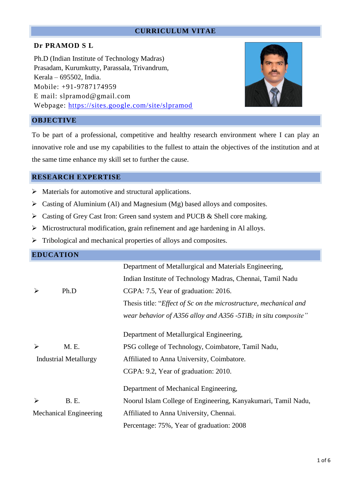## **CURRICULUM VITAE**

# **Dr PRAMOD S L**

Ph.D (Indian Institute of Technology Madras) Prasadam, Kurumkutty, Parassala, Trivandrum, Kerala – 695502, India. Mobile: +91-9787174959 E mail: [slpramod@gmail.com](mailto:slpramod@gmail.com) Webpage:<https://sites.google.com/site/slpramod>



# **OBJECTIVE**

To be part of a professional, competitive and healthy research environment where I can play an innovative role and use my capabilities to the fullest to attain the objectives of the institution and at the same time enhance my skill set to further the cause.

## **RESEARCH EXPERTISE**

- ➢ Materials for automotive and structural applications.
- $\triangleright$  Casting of Aluminium (Al) and Magnesium (Mg) based alloys and composites.
- ➢ Casting of Grey Cast Iron: Green sand system and PUCB & Shell core making.
- ➢ Microstructural modification, grain refinement and age hardening in Al alloys.
- ➢ Tribological and mechanical properties of alloys and composites.

|                               | <b>EDUCATION</b>             |                                                                            |
|-------------------------------|------------------------------|----------------------------------------------------------------------------|
|                               |                              | Department of Metallurgical and Materials Engineering,                     |
|                               |                              | Indian Institute of Technology Madras, Chennai, Tamil Nadu                 |
| ➢                             | Ph.D                         | CGPA: 7.5, Year of graduation: 2016.                                       |
|                               |                              | Thesis title: " <i>Effect of Sc on the microstructure, mechanical and</i>  |
|                               |                              | wear behavior of A356 alloy and A356 -5TiB <sub>2</sub> in situ composite" |
|                               |                              | Department of Metallurgical Engineering,                                   |
| $\blacktriangleright$         | M. E.                        | PSG college of Technology, Coimbatore, Tamil Nadu,                         |
|                               | <b>Industrial Metallurgy</b> | Affiliated to Anna University, Coimbatore.                                 |
|                               |                              | CGPA: 9.2, Year of graduation: 2010.                                       |
|                               |                              | Department of Mechanical Engineering,                                      |
| $\blacktriangleright$         | <b>B.</b> E.                 | Noorul Islam College of Engineering, Kanyakumari, Tamil Nadu,              |
| <b>Mechanical Engineering</b> |                              | Affiliated to Anna University, Chennai.                                    |
|                               |                              | Percentage: 75%, Year of graduation: 2008                                  |
|                               |                              |                                                                            |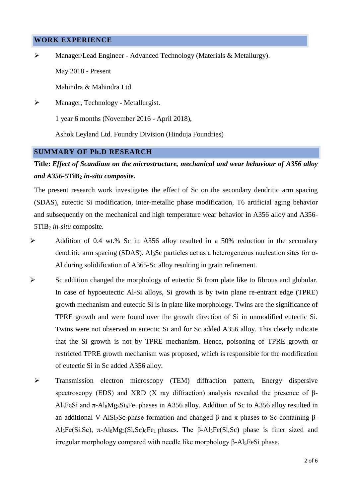#### **WORK EXPERIENCE**

➢ Manager/Lead Engineer - Advanced Technology (Materials & Metallurgy).

May 2018 - Present

Mahindra & Mahindra Ltd.

➢ Manager, Technology - Metallurgist.

1 year 6 months (November 2016 - April 2018),

Ashok Leyland Ltd. Foundry Division (Hinduja Foundries)

#### **SUMMARY OF Ph.D RESEARCH**

# **Title:** *Effect of Scandium on the microstructure, mechanical and wear behaviour of A356 alloy and A356-***5TiB<sup>2</sup>** *in-situ composite.*

The present research work investigates the effect of Sc on the secondary dendritic arm spacing (SDAS), eutectic Si modification, inter-metallic phase modification, T6 artificial aging behavior and subsequently on the mechanical and high temperature wear behavior in A356 alloy and A356- 5TiB<sup>2</sup> *in-situ* composite.

- ➢ Addition of 0.4 wt.% Sc in A356 alloy resulted in a 50% reduction in the secondary dendritic arm spacing (SDAS). Al3Sc particles act as a heterogeneous nucleation sites for α-Al during solidification of A365-Sc alloy resulting in grain refinement.
- ➢ Sc addition changed the morphology of eutectic Si from plate like to fibrous and globular. In case of hypoeutectic Al-Si alloys, Si growth is by twin plane re-entrant edge (TPRE) growth mechanism and eutectic Si is in plate like morphology. Twins are the significance of TPRE growth and were found over the growth direction of Si in unmodified eutectic Si. Twins were not observed in eutectic Si and for Sc added A356 alloy. This clearly indicate that the Si growth is not by TPRE mechanism. Hence, poisoning of TPRE growth or restricted TPRE growth mechanism was proposed, which is responsible for the modification of eutectic Si in Sc added A356 alloy.
- ➢ Transmission electron microscopy (TEM) diffraction pattern, Energy dispersive spectroscopy (EDS) and XRD (X ray diffraction) analysis revealed the presence of  $\beta$ -Al<sub>5</sub>FeSi and  $π$ -Al<sub>8</sub>Mg<sub>3</sub>Si<sub>6</sub>Fe<sub>1</sub> phases in A356 alloy. Addition of Sc to A356 alloy resulted in an additional V-AlSi<sub>2</sub>Sc<sub>2</sub>phase formation and changed β and π phases to Sc containing β-Al<sub>5</sub>Fe(Si.Sc),  $\pi$ -Al<sub>8</sub>Mg<sub>3</sub>(Si,Sc)<sub>6</sub>Fe<sub>1</sub> phases. The β-Al<sub>5</sub>Fe(Si,Sc) phase is finer sized and irregular morphology compared with needle like morphology β-Al5FeSi phase.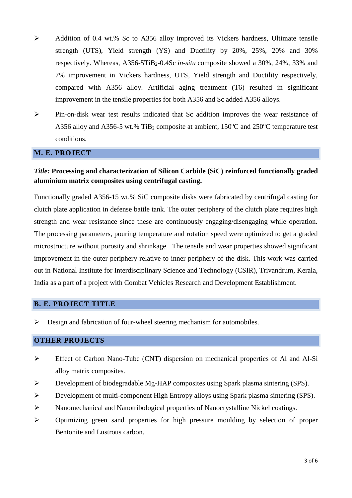- ➢ Addition of 0.4 wt.% Sc to A356 alloy improved its Vickers hardness, Ultimate tensile strength (UTS), Yield strength (YS) and Ductility by 20%, 25%, 20% and 30% respectively. Whereas, A356-5TiB2-0.4Sc *in-situ* composite showed a 30%, 24%, 33% and 7% improvement in Vickers hardness, UTS, Yield strength and Ductility respectively, compared with A356 alloy. Artificial aging treatment (T6) resulted in significant improvement in the tensile properties for both A356 and Sc added A356 alloys.
- ➢ Pin-on-disk wear test results indicated that Sc addition improves the wear resistance of A356 alloy and A356-5 wt.% TiB<sub>2</sub> composite at ambient,  $150^{\circ}$ C and  $250^{\circ}$ C temperature test conditions.

#### **M. E. PROJECT**

# *Title:* **Processing and characterization of Silicon Carbide (SiC) reinforced functionally graded aluminium matrix composites using centrifugal casting.**

Functionally graded A356-15 wt.% SiC composite disks were fabricated by centrifugal casting for clutch plate application in defense battle tank. The outer periphery of the clutch plate requires high strength and wear resistance since these are continuously engaging/disengaging while operation. The processing parameters, pouring temperature and rotation speed were optimized to get a graded microstructure without porosity and shrinkage. The tensile and wear properties showed significant improvement in the outer periphery relative to inner periphery of the disk. This work was carried out in National Institute for Interdisciplinary Science and Technology (CSIR), Trivandrum, Kerala, India as a part of a project with Combat Vehicles Research and Development Establishment.

# **B. E. PROJECT TITLE**

➢ Design and fabrication of four-wheel steering mechanism for automobiles.

## **OTHER PROJECTS**

- ➢ Effect of Carbon Nano-Tube (CNT) dispersion on mechanical properties of Al and Al-Si alloy matrix composites.
- ➢ Development of biodegradable Mg-HAP composites using Spark plasma sintering (SPS).
- ➢ Development of multi-component High Entropy alloys using Spark plasma sintering (SPS).
- ➢ Nanomechanical and Nanotribological properties of Nanocrystalline Nickel coatings.
- ➢ Optimizing green sand properties for high pressure moulding by selection of proper Bentonite and Lustrous carbon.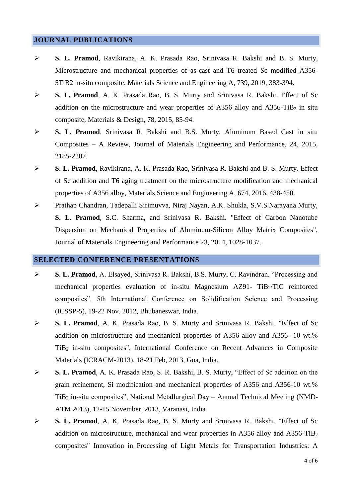# **JOURNAL PUBLICATIONS**

- ➢ **S. L. Pramod**, Ravikirana, A. K. Prasada Rao, Srinivasa R. Bakshi and B. S. Murty, Microstructure and mechanical properties of as-cast and T6 treated Sc modified A356- 5TiB2 in-situ composite, Materials Science and Engineering A, 739, 2019, 383-394.
- ➢ **S. L. Pramod**, A. K. Prasada Rao, B. S. Murty and Srinivasa R. Bakshi, Effect of Sc addition on the microstructure and wear properties of A356 alloy and A356-TiB<sub>2</sub> in situ composite, Materials & Design, 78, 2015, 85-94.
- ➢ **S. L. Pramod**, Srinivasa R. Bakshi and B.S. Murty, Aluminum Based Cast in situ Composites – A Review, Journal of Materials Engineering and Performance, 24, 2015, 2185-2207.
- ➢ **S. L. Pramod**, Ravikirana, A. K. Prasada Rao, Srinivasa R. Bakshi and B. S. Murty, Effect of Sc addition and T6 aging treatment on the microstructure modification and mechanical properties of A356 alloy, Materials Science and Engineering A, 674, 2016, 438-450.
- ➢ Prathap Chandran, Tadepalli Sirimuvva, Niraj Nayan, A.K. Shukla, S.V.S.Narayana Murty, **S. L. Pramod**, S.C. Sharma, and Srinivasa R. Bakshi. "Effect of Carbon Nanotube Dispersion on Mechanical Properties of Aluminum-Silicon Alloy Matrix Composites", Journal of Materials Engineering and Performance 23, 2014, 1028-1037.

#### **SELECTED CONFERENCE PRESENTATIONS**

- ➢ **S. L. Pramod**, A. Elsayed, Srinivasa R. Bakshi, B.S. Murty, C. Ravindran. "Processing and mechanical properties evaluation of in-situ Magnesium AZ91- TiB<sub>2</sub>/TiC reinforced composites". 5th International Conference on Solidification Science and Processing (ICSSP-5), 19-22 Nov. 2012, Bhubaneswar, India.
- ➢ **S. L. Pramod**, A. K. Prasada Rao, B. S. Murty and Srinivasa R. Bakshi. "Effect of Sc addition on microstructure and mechanical properties of A356 alloy and A356 -10 wt.% TiB<sup>2</sup> in-situ composites", International Conference on Recent Advances in Composite Materials (ICRACM-2013), 18-21 Feb, 2013, Goa, India.
- ➢ **S. L. Pramod**, A. K. Prasada Rao, S. R. Bakshi, B. S. Murty, "Effect of Sc addition on the grain refinement, Si modification and mechanical properties of A356 and A356-10 wt.% TiB<sup>2</sup> in-situ composites", National Metallurgical Day – Annual Technical Meeting (NMD-ATM 2013), 12-15 November, 2013, Varanasi, India.
- ➢ **S. L. Pramod**, A. K. Prasada Rao, B. S. Murty and Srinivasa R. Bakshi, "Effect of Sc addition on microstructure, mechanical and wear properties in A356 alloy and A356-TiB<sup>2</sup> composites" Innovation in Processing of Light Metals for Transportation Industries: A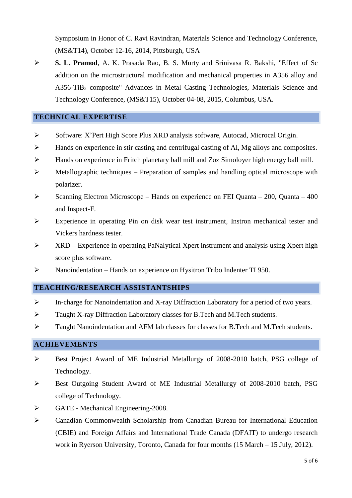Symposium in Honor of C. Ravi Ravindran, Materials Science and Technology Conference, (MS&T14), October 12-16, 2014, Pittsburgh, USA

➢ **S. L. Pramod**, A. K. Prasada Rao, B. S. Murty and Srinivasa R. Bakshi, "Effect of Sc addition on the microstructural modification and mechanical properties in A356 alloy and A356-TiB<sup>2</sup> composite" Advances in Metal Casting Technologies, Materials Science and Technology Conference, (MS&T15), October 04-08, 2015, Columbus, USA.

#### **TECHNICAL EXPERTISE**

- ➢ Software: X'Pert High Score Plus XRD analysis software, Autocad, Microcal Origin.
- $\triangleright$  Hands on experience in stir casting and centrifugal casting of Al, Mg alloys and composites.
- ➢ Hands on experience in Fritch planetary ball mill and Zoz Simoloyer high energy ball mill.
- ➢ Metallographic techniques Preparation of samples and handling optical microscope with polarizer.
- $\triangleright$  Scanning Electron Microscope Hands on experience on FEI Quanta 200, Quanta 400 and Inspect-F.
- ➢ Experience in operating Pin on disk wear test instrument, Instron mechanical tester and Vickers hardness tester.
- $\triangleright$  XRD Experience in operating PaNalytical Xpert instrument and analysis using Xpert high score plus software.
- ➢ Nanoindentation Hands on experience on Hysitron Tribo Indenter TI 950.

#### **TEACHING/RESEARCH ASSISTANTSHIPS**

- ➢ In-charge for Nanoindentation and X-ray Diffraction Laboratory for a period of two years.
- ➢ Taught X-ray Diffraction Laboratory classes for B.Tech and M.Tech students.
- ➢ Taught Nanoindentation and AFM lab classes for classes for B.Tech and M.Tech students.

## **ACHIEVEMENTS**

- ➢ Best Project Award of ME Industrial Metallurgy of 2008-2010 batch, PSG college of Technology.
- ➢ Best Outgoing Student Award of ME Industrial Metallurgy of 2008-2010 batch, PSG college of Technology.
- ➢ GATE Mechanical Engineering-2008.
- ➢ Canadian Commonwealth Scholarship from Canadian Bureau for International Education (CBIE) and Foreign Affairs and International Trade Canada (DFAIT) to undergo research work in Ryerson University, Toronto, Canada for four months (15 March – 15 July, 2012).